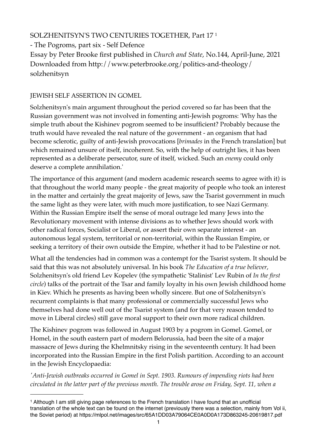# SOLZHENITSYN'S TWO CENTURIES TOGETHER, Part 17 [1](#page-0-0)

- The Pogroms, part six - Self Defence Essay by Peter Brooke first published in *Church and State*, No.144, April-June, 2021 Downloaded from http://www.peterbrooke.org/politics-and-theology/ solzhenitsyn

## JEWISH SELF ASSERTION IN GOMEL

Solzhenitsyn's main argument throughout the period covered so far has been that the Russian government was not involved in fomenting anti-Jewish pogroms: 'Why has the simple truth about the Kishinev pogrom seemed to be insufficient? Probably because the truth would have revealed the real nature of the government - an organism that had become sclerotic, guilty of anti-Jewish provocations [*brimades* in the French translation] but which remained unsure of itself, incoherent. So, with the help of outright lies, it has been represented as a deliberate persecutor, sure of itself, wicked. Such an *enemy* could only deserve a complete annihilation.'

The importance of this argument (and modern academic research seems to agree with it) is that throughout the world many people - the great majority of people who took an interest in the matter and certainly the great majority of Jews, saw the Tsarist government in much the same light as they were later, with much more justification, to see Nazi Germany. Within the Russian Empire itself the sense of moral outrage led many Jews into the Revolutionary movement with intense divisions as to whether Jews should work with other radical forces, Socialist or Liberal, or assert their own separate interest - an autonomous legal system, territorial or non-territorial, within the Russian Empire, or seeking a territory of their own outside the Empire, whether it had to be Palestine or not.

What all the tendencies had in common was a contempt for the Tsarist system. It should be said that this was not absolutely universal. In his book *The Education of a true believer*, Solzhenitsyn's old friend Lev Kopelev (the sympathetic 'Stalinist' Lev Rubin of *In the first circle*) talks of the portrait of the Tsar and family loyalty in his own Jewish childhood home in Kiev. Which he presents as having been wholly sincere. But one of Solzhenitsyn's recurrent complaints is that many professional or commercially successful Jews who themselves had done well out of the Tsarist system (and for that very reason tended to move in Liberal circles) still gave moral support to their own more radical children.

The Kishinev pogrom was followed in August 1903 by a pogrom in Gomel. Gomel, or Homel, in the south eastern part of modern Belorussia, had been the site of a major massacre of Jews during the Khelmnitsky rising in the seventeenth century. It had been incorporated into the Russian Empire in the first Polish partition. According to an account in the Jewish Encyclopaedia:

*'Anti-Jewish outbreaks occurred in Gomel in Sept. 1903. Rumours of impending riots had been circulated in the latter part of the previous month. The trouble arose on Friday, Sept. 11, when a* 

<span id="page-0-0"></span><sup>1</sup> Although I am still giving page references to the French translation I have found that an unofficial translation of the whole text can be found on the internet (previously there was a selection, mainly from Vol ii, the Soviet period) at https://mlpol.net/images/src/65A1DD03A79064CE0A0D0A173D863245-20619817.pdf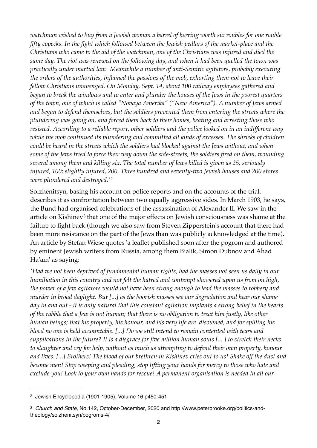*watchman wished to buy from a Jewish woman a barrel of herring worth six roubles for one rouble fifty copecks. In the fight which followed between the Jewish pedlars of the market-place and the Christians who came to the aid of the watchman, one of the Christians was injured and died the same day. The riot was renewed on the following day, and when it had been quelled the town was practically under martial law. Meanwhile a number of anti-Semitic agitators, probably executing the orders of the authorities, inflamed the passions of the mob, exhorting them not to leave their fellow Christians unavenged. On Monday, Sept. 14, about 100 railway employees gathered and began to break the windows and to enter and plunder the houses of the Jews in the poorest quarters of the town, one of which is called "Novaya Amerika" ("New America"). A number of Jews armed and began to defend themselves, but the soldiers prevented them from entering the streets where the plundering was going on, and forced them back to their homes, beating and arresting those who resisted. According to a reliable report, other soldiers and the police looked on in an indifferent way while the mob continued its plundering and committed all kinds of excesses. The shrieks of children could be heard in the streets which the soldiers had blocked against the Jews without; and when some of the Jews tried to force their way down the side-streets, the soldiers fired on them, wounding several among them and killing six. The total number of Jews killed is given as 25; seriously injured, 100; slightly injured, 200. Three hundred and seventy-two Jewish houses and 200 stores were plundered and destroyed.'[2](#page-1-0)*

Solzhenitsyn, basing his account on police reports and on the accounts of the trial, describes it as confrontation between two equally aggressive sides. In March 1903, he says, the Bund had organised celebrations of the assassination of Alexander II. We saw in the article on Kishinev<sup>[3](#page-1-1)</sup> that one of the major effects on Jewish consciousness was shame at the failure to fight back (though we also saw from Steven Zipperstein's account that there had been more resistance on the part of the Jews than was publicly acknowledged at the time). An article by Stefan Wiese quotes 'a leaflet published soon after the pogrom and authored by eminent Jewish writers from Russia, among them Bialik, Simon Dubnov and Ahad Ha'am' as saying:

*'Had we not been deprived of fundamental human rights, had the masses not seen us daily in our humiliation in this country and not felt the hatred and contempt showered upon us from on high, the power of a few agitators would not have been strong enough to lead the masses to robbery and murder in broad daylight. But [...] as the boorish masses see our degradation and hear our shame day in and out - it is only natural that this constant agitation implants a strong belief in the hearts of the rabble that a Jew is not human; that there is no obligation to treat him justly, like other human beings; that his property, his honour, and his very life are disowned, and for spilling his blood no one is held accountable. [...] Do we still intend to remain contented with tears and supplications in the future? It is a disgrace for five million human souls [... ] to stretch their necks to slaughter and cry for help, without as much as attempting to defend their own property, honour and lives. [...] Brothers! The blood of our brethren in Kishinev cries out to us! Shake off the dust and become men! Stop weeping and pleading, stop lifting your hands for mercy to those who hate and exclude you! Look to your own hands for rescue! A permanent organisation is needed in all our* 

<span id="page-1-0"></span><sup>2</sup> Jewish Encyclopedia (1901-1905), Volume 16 p450-451

<span id="page-1-1"></span><sup>3</sup> *Church and State*, No.142, October-December, 2020 and http://www.peterbrooke.org/politics-andtheology/solzhenitsyn/pogroms-4/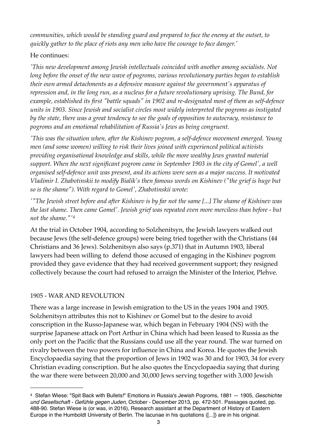*communities, which would be standing guard and prepared to face the enemy at the outset, to quickly gather to the place of riots any men who have the courage to face danger.'*

### He continues:

*'This new development among Jewish intellectuals coincided with another among socialists. Not long before the onset of the new wave of pogroms, various revolutionary parties began to establish their own armed detachments as a defensive measure against the government's apparatus of repression and, in the long run, as a nucleus for a future revolutionary uprising. The Bund, for example, established its first "battle squads" in 1902 and re-designated most of them as self-defence units in 1903. Since Jewish and socialist circles most widely interpreted the pogroms as instigated by the state, there was a great tendency to see the goals of opposition to autocracy, resistance to pogroms and an emotional rehabilitation of Russia's Jews as being congruent.*

*'This was the situation when, after the Kishinev pogrom, a self-defence movement emerged. Young men (and some women) willing to risk their lives joined with experienced political activists providing organisational knowledge and skills, while the more wealthy Jews granted material support. When the next significant pogrom came in September 1903 in the city of Gomel', a well organised self-defence unit was present, and its actions were seen as a major success. It motivated Vladimir I. Zhabotinskii to modify Bialik's then famous words on Kishinev ("the grief is huge but so is the shame"). With regard to Gomel', Zhabotinskii wrote:*

*'"The Jewish street before and after Kishinev is by far not the same [...] The shame of Kishinev was the last shame. Then came Gomel'. Jewish grief was repeated even more merciless than before - but not the shame."'[4](#page-2-0)*

At the trial in October 1904, according to Solzhenitsyn, the Jewish lawyers walked out because Jews (the self-defence groups) were being tried together with the Christians (44 Christians and 36 Jews). Solzhenitsyn also says (p.371) that in Autumn 1903, liberal lawyers had been willing to defend those accused of engaging in the Kishinev pogrom provided they gave evidence that they had received government support; they resigned collectively because the court had refused to arraign the Minister of the Interior, Plehve.

### 1905 - WAR AND REVOLUTION

There was a large increase in Jewish emigration to the US in the years 1904 and 1905. Solzhenitsyn attributes this not to Kishinev or Gomel but to the desire to avoid conscription in the Russo-Japanese war, which began in February 1904 (NS) with the surprise Japanese attack on Port Arthur in China which had been leased to Russia as the only port on the Pacific that the Russians could use all the year round. The war turned on rivalry between the two powers for influence in China and Korea. He quotes the Jewish Encyclopaedia saying that the proportion of Jews in 1902 was 30 and for 1903, 34 for every Christian evading conscription. But he also quotes the Encyclopaedia saying that during the war there were between 20,000 and 30,000 Jews serving together with 3,000 Jewish

<span id="page-2-0"></span><sup>4</sup> Stefan Wiese: "Spit Back with Bullets!" Emotions in Russia's Jewish Pogroms, 1881 — 1905, *Geschichte und Gesellschaft - Gefühle gegen Juden*, October - December 2013, pp. 472-501. Passages quoted, pp. 488-90. Stefan Wiese is (or was, in 2016), Research assistant at the Department of History of Eastern Europe in the Humboldt University of Berlin. The lacunae in his quotations ([...]} are in his original.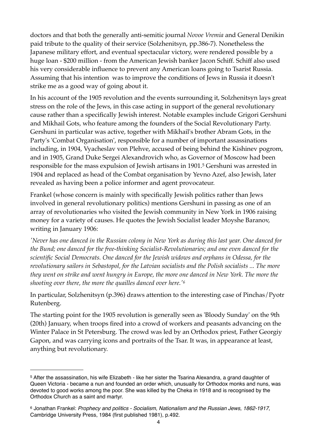doctors and that both the generally anti-semitic journal *Novoe Vremia* and General Denikin paid tribute to the quality of their service (Solzhenitsyn, pp.386-7). Nonetheless the Japanese military effort, and eventual spectacular victory, were rendered possible by a huge loan - \$200 million - from the American Jewish banker Jacon Schiff. Schiff also used his very considerable influence to prevent any American loans going to Tsarist Russia. Assuming that his intention was to improve the conditions of Jews in Russia it doesn't strike me as a good way of going about it.

In his account of the 1905 revolution and the events surrounding it, Solzhenitsyn lays great stress on the role of the Jews, in this case acting in support of the general revolutionary cause rather than a specifically Jewish interest. Notable examples include Grigori Gershuni and Mikhail Gots, who feature among the founders of the Social Revolutionary Party. Gershuni in particular was active, together with Mikhail's brother Abram Gots, in the Party's 'Combat Organisation', responsible for a number of important assassinations including, in 1904, Vyacheslav von Plehve, accused of being behind the Kishinev pogrom, and in 1905, Grand Duke Sergei Alexandrovich who, as Governor of Moscow had been responsible for the mass expulsion of Jewish artisans in 1901.[5](#page-3-0) Gershuni was arrested in 1904 and replaced as head of the Combat organisation by Yevno Azef, also Jewish, later revealed as having been a police informer and agent provocateur.

Frankel (whose concern is mainly with specifically Jewish politics rather than Jews involved in general revolutionary politics) mentions Gershuni in passing as one of an array of revolutionaries who visited the Jewish community in New York in 1906 raising money for a variety of causes. He quotes the Jewish Socialist leader Moyshe Baranov, writing in January 1906:

*'Never has one danced in the Russian colony in New York as during this last year. One danced for the Bund; one danced for the free-thinking Socialist-Revolutionaries; and one even danced for the scientific Social Democrats. One danced for the Jewish widows and orphans in Odessa, for the revolutionary sailors in Sebastopol, for the Latvian socialists and the Polish socialists ... The more they went on strike and went hungry in Europe, the more one danced in New York. The more the shooting over there, the more the quailles danced over here.'[6](#page-3-1)*

In particular, Solzhenitsyn (p.396) draws attention to the interesting case of Pinchas/Pyotr Rutenberg.

The starting point for the 1905 revolution is generally seen as 'Bloody Sunday' on the 9th (20th) January, when troops fired into a crowd of workers and peasants advancing on the Winter Palace in St Petersburg. The crowd was led by an Orthodox priest, Father Georgiy Gapon, and was carrying icons and portraits of the Tsar. It was, in appearance at least, anything but revolutionary.

<span id="page-3-0"></span><sup>5</sup> After the assassination, his wife Elizabeth - like her sister the Tsarina Alexandra, a grand daughter of Queen Victoria - became a nun and founded an order which, unusually for Orthodox monks and nuns, was devoted to good works among the poor. She was killed by the Cheka in 1918 and is recognised by the Orthodox Church as a saint and martyr.

<span id="page-3-1"></span><sup>6</sup> Jonathan Frankel: *Prophecy and politics - Socialism, Nationalism and the Russian Jews, 1862-1917*, Cambridge University Press, 1984 (first published 1981), p.492.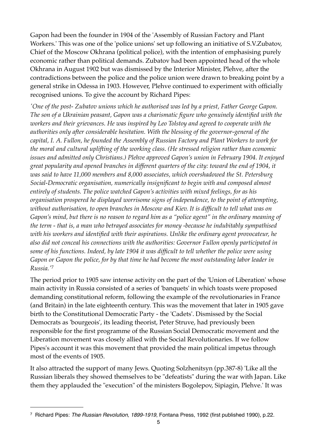Gapon had been the founder in 1904 of the 'Assembly of Russian Factory and Plant Workers.' This was one of the 'police unions' set up following an initiative of S.V.Zubatov, Chief of the Moscow Okhrana (political police), with the intention of emphasising purely economic rather than political demands. Zubatov had been appointed head of the whole Okhrana in August 1902 but was dismissed by the Interior Minister, Plehve, after the contradictions between the police and the police union were drawn to breaking point by a general strike in Odessa in 1903. However, Plehve continued to experiment with officially recognised unions. To give the account by Richard Pipes:

*'One of the post- Zubatov unions which he authorised was led by a priest, Father George Gapon. The son of a Ukrainian peasant, Gapon was a charismatic figure who genuinely identified with the workers and their grievances. He was inspired by Leo Tolstoy and agreed to cooperate with the authorities only after considerable hesitation. With the blessing of the governor-general of the capital, I. A. Fullon, he founded the Assembly of Russian Factory and Plant Workers to work for the moral and cultural uplifting of the working class. (He stressed religion rather than economic issues and admitted only Christians.) Plehve approved Gapon's union in February 1904. It enjoyed great popularity and opened branches in different quarters of the city: toward the end of 1904, it was said to have 11,000 members and 8,000 associates, which overshadowed the St. Petersburg Social-Democratic organisation, numerically insignificant to begin with and composed almost entirely of students. The police watched Gapon's activities with mixed feelings, for as his organisation prospered he displayed worrisome signs of independence, to the point of attempting, without authorisation, to open branches in Moscow and Kiev. It is difficult to tell what was on Gapon's mind, but there is no reason to regard him as a "police agent" in the ordinary meaning of the term - that is, a man who betrayed associates for money -because he indubitably sympathised with his workers and identified with their aspirations. Unlike the ordinary agent provocateur, he also did not conceal his connections with the authorities: Governor Fullon openly participated in some of his functions. Indeed, by late 1904 it was difficult to tell whether the police were using Gapon or Gapon the police, for by that time he had become the most outstanding labor leader in Russia.'*[7](#page-4-0)

The period prior to 1905 saw intense activity on the part of the 'Union of Liberation' whose main activity in Russia consisted of a series of 'banquets' in which toasts were proposed demanding constitutional reform, following the example of the revolutionaries in France (and Britain) in the late eighteenth century. This was the movement that later in 1905 gave birth to the Constitutional Democratic Party - the 'Cadets'. Dismissed by the Social Democrats as 'bourgeois', its leading theorist, Peter Struve, had previously been responsible for the first programme of the Russian Social Democratic movement and the Liberation movement was closely allied with the Social Revolutionaries. If we follow Pipes's account it was this movement that provided the main political impetus through most of the events of 1905.

It also attracted the support of many Jews. Quoting Solzhenitsyn (pp.387-8) 'Like all the Russian liberals they showed themselves to be "defeatists" during the war with Japan. Like them they applauded the "execution" of the ministers Bogolepov, Sipiagin, Plehve.' It was

<span id="page-4-0"></span><sup>7</sup> Richard Pipes: *The Russian Revolution, 1899-1919*, Fontana Press, 1992 (first published 1990), p.22.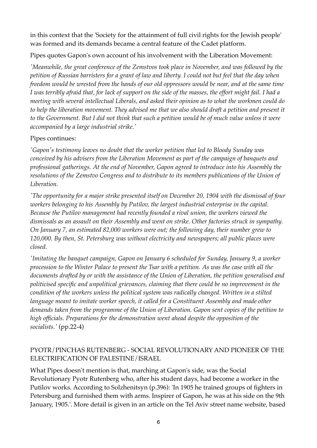in this context that the 'Society for the attainment of full civil rights for the Jewish people' was formed and its demands became a central feature of the Cadet platform.

Pipes quotes Gapon's own account of his involvement with the Liberation Movement:

*'Meanwhile, the great conference of the Zemstvos took place in November, and was followed by the petition of Russian barristers for a grant of law and liberty. I could not but feel that the day when freedom would be wrested from the hands of our old oppressors would be near, and at the same time I was terribly afraid that, for lack of support on the side of the masses, the effort might fail. I had a meeting with several intellectual Liberals, and asked their opinion as to what the workmen could do to help the liberation movement. They advised me that we also should draft a petition and present it*  to the Government. But I did not think that such a petition would be of much value unless it were *accompanied by a large industrial strike.'*

### Pipes continues:

*'Gapon's testimony leaves no doubt that the worker petition that led to Bloody Sunday was conceived by his advisers from the Liberation Movement as part of the campaign of banquets and professional gatherings. At the end of November, Gapon agreed to introduce into his Assembly the resolutions of the Zemstvo Congress and to distribute to its members publications of the Union of Liberation.*

*'The opportunity for a major strike presented itself on December 20, 1904 with the dismissal of four workers belonging to his Assembly by Putilov, the largest industrial enterprise in the capital. Because the Putilov management had recently founded a rival union, the workers viewed the dismissals as an assault on their Assembly and went on strike. Other factories struck in sympathy. On January 7, an estimated 82,000 workers were out; the following day, their number grew to 120,000. By then, St. Petersburg was without electricity and newspapers; all public places were closed.*

*'Imitating the banquet campaign, Gapon on January 6 scheduled for Sunday, January 9, a worker procession to the Winter Palace to present the Tsar with a petition. As was the case with all the documents drafted by or with the assistance of the Union of Liberation, the petition generalised and politicised specific and unpolitical grievances, claiming that there could be no improvement in the condition of the workers unless the political system was radically changed. Written in a stilted language meant to imitate worker speech, it called for a Constituent Assembly and made other demands taken from the programme of the Union of Liberation. Gapon sent copies of the petition to high officials. Preparations for the demonstration went ahead despite the opposition of the socialists.'* (pp.22-4)

### PYOTR/PINCHAS RUTENBERG - SOCIAL REVOLUTIONARY AND PIONEER OF THE ELECTRIFICATION OF PALESTINE/ISRAEL

What Pipes doesn't mention is that, marching at Gapon's side, was the Social Revolutionary Pyotr Rutenberg who, after his student days, had become a worker in the Putilov works. According to Solzhenitsyn (p.396): 'In 1905 he trained groups of fighters in Petersburg and furnished them with arms. Inspirer of Gapon, he was at his side on the 9th January, 1905.'. More detail is given in an article on the Tel Aviv street name website, based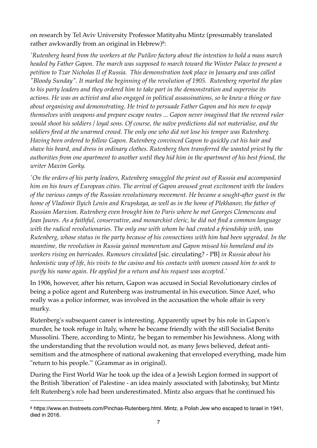on research by Tel Aviv University Professor Matityahu Mintz (presumably translated rather awkwardly from an original in Hebrew)<sup>8</sup>:

*'Rutenberg heard from the workers at the Putilov factory about the intention to hold a mass march headed by Father Gapon. The march was supposed to march toward the Winter Palace to present a petition to Tzar Nicholas II of Russia. This demonstration took place in January and was called "Bloody Sunday". It marked the beginning of the revolution of 1905. Rutenberg reported the plan to his party leaders and they ordered him to take part in the demonstration and supervise its actions. He was an activist and also engaged in political assassinations, so he knew a thing or two about organising and demonstrating. He tried to persuade Father Gapon and his men to equip themselves with weapons and prepare escape routes ... Gapon never imagined that the revered ruler would shoot his soldiers / loyal sons. Of course, the naïve predictions did not materialise, and the soldiers fired at the unarmed crowd. The only one who did not lose his temper was Rutenberg. Having been ordered to follow Gapon. Rutenberg convinced Gapon to quickly cut his hair and shave his beard, and dress in ordinary clothes. Rutenberg then transferred the wanted priest by the authorities from one apartment to another until they hid him in the apartment of his best friend, the writer Maxim Gorky.*

*'On the orders of his party leaders, Rutenberg smuggled the priest out of Russia and accompanied him on his tours of European cities. The arrival of Gapon aroused great excitement with the leaders of the various camps of the Russian revolutionary movement. He became a sought-after guest in the home of Vladimir Ilyich Lenin and Krupskaya, as well as in the home of Plekhanov, the father of Russian Marxism. Rutenberg even brought him to Paris where he met Georges Clemenceau and Jean Jaures. As a faithful, conservative, and monarchist cleric, he did not find a common language with the radical revolutionaries. The only one with whom he had created a friendship with, was Rutenberg, whose status in the party because of his connections with him had been upgraded. In the meantime, the revolution in Russia gained momentum and Gapon missed his homeland and its workers rising on barricades. Rumours circulated* [sic. circulating? - PB] *in Russia about his hedonistic way of life, his visits to the casino and his contacts with women caused him to seek to purify his name again. He applied for a return and his request was accepted.'*

In 1906, however, after his return, Gapon was accused in Social Revolutionary circles of being a police agent and Rutenberg was instrumental in his execution. Since Azef, who really was a police informer, was involved in the accusation the whole affair is very murky.

Rutenberg's subsequent career is interesting. Apparently upset by his role in Gapon's murder, he took refuge in Italy, where he became friendly with the still Socialist Benito Mussolini. There, according to Mintz, 'he began to remember his Jewishness. Along with the understanding that the revolution would not, as many Jews believed, defeat antisemitism and the atmosphere of national awakening that enveloped everything, made him "return to his people."' (Grammar as in original).

During the First World War he took up the idea of a Jewish Legion formed in support of the British 'liberation' of Palestine - an idea mainly associated with Jabotinsky, but Mintz felt Rutenberg's role had been underestimated. Mintz also argues that he continued his

<span id="page-6-0"></span><sup>8</sup> https://www.en.tlvstreets.com/Pinchas-Rutenberg.html. Mintz, a Polish Jew who escaped to Israel in 1941, died in 2016.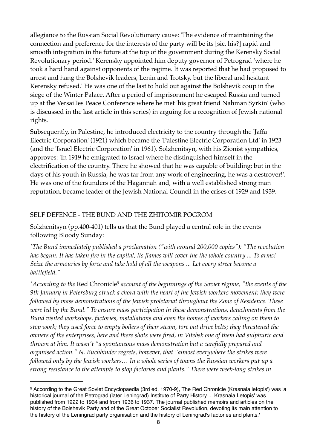allegiance to the Russian Social Revolutionary cause: 'The evidence of maintaining the connection and preference for the interests of the party will be its [sic. his?] rapid and smooth integration in the future at the top of the government during the Kerensky Social Revolutionary period.' Kerensky appointed him deputy governor of Petrograd 'where he took a hard hand against opponents of the regime. It was reported that he had proposed to arrest and hang the Bolshevik leaders, Lenin and Trotsky, but the liberal and hesitant Kerensky refused.' He was one of the last to hold out against the Bolshevik coup in the siege of the Winter Palace. After a period of imprisonment he escaped Russia and turned up at the Versailles Peace Conference where he met 'his great friend Nahman Syrkin' (who is discussed in the last article in this series) in arguing for a recognition of Jewish national rights.

Subsequently, in Palestine, he introduced electricity to the country through the 'Jaffa Electric Corporation' (1921) which became the 'Palestine Electric Corporation Ltd' in 1923 (and the 'Israel Electric Corporation' in 1961). Solzhenitsyn, with his Zionist sympathies, approves: 'In 1919 he emigrated to Israel where he distinguished himself in the electrification of the country. There he showed that he was capable of building; but in the days of his youth in Russia, he was far from any work of engineering, he was a destroyer!'. He was one of the founders of the Hagannah and, with a well established strong man reputation, became leader of the Jewish National Council in the crises of 1929 and 1939.

### SELF DEFENCE - THE BUND AND THE ZHITOMIR POGROM

Solzhenitsyn (pp.400-401) tells us that the Bund played a central role in the events following Bloody Sunday:

*'The Bund immediately published a proclamation ("with around 200,000 copies"): "The revolution has begun. It has taken fire in the capital, its flames will cover the the whole country ... To arms! Seize the armouries by force and take hold of all the weapons ... Let every street become a battlefield."*

*'According to the* Red Chronicle[9](#page-7-0) *account of the beginnings of the Soviet régime, "the events of the 9th January in Petersburg struck a chord with the heart of the Jewish workers movement: they were followed by mass demonstrations of the Jewish proletariat throughout the Zone of Residence. These were led by the Bund." To ensure mass participation in these demonstrations, detachments from the Bund visited workshops, factories, installations and even the homes of workers calling on them to stop work; they used force to empty boilers of their steam, tore out drive belts; they threatened the owners of the enterprises, here and there shots were fired, in Vitebsk one of them had sulphuric acid thrown at him. It wasn't "a spontaneous mass demonstration but a carefully prepared and organised action." N. Buchbinder regrets, however, that "almost everywhere the strikes were followed only by the Jewish workers… In a whole series of towns the Russian workers put up a strong resistance to the attempts to stop factories and plants." There were week-long strikes in* 

<span id="page-7-0"></span><sup>9</sup> According to the Great Soviet Encyclopaedia (3rd ed, 1970-9), The Red Chronicle (Krasnaia letopis') was 'a historical journal of the Petrograd (later Leningrad) Institute of Party History ... Krasnaia Letopis' was published from 1922 to 1934 and from 1936 to 1937. The journal published memoirs and articles on the history of the Bolshevik Party and of the Great October Socialist Revolution, devoting its main attention to the history of the Leningrad party organisation and the history of Leningrad's factories and plants.'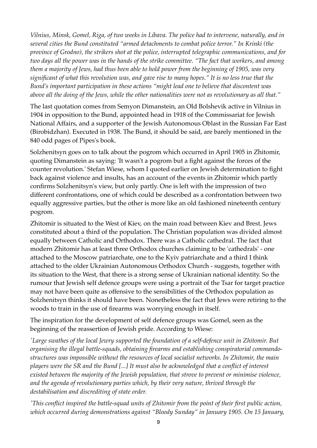*Vilnius, Minsk, Gomel, Riga, of two weeks in Libava. The police had to intervene, naturally, and in several cities the Bund constituted "armed detachments to combat police terror." In Krinki (the province of Grodno), the strikers shot at the police, interrupted telegraphic communications, and for two days all the power was in the hands of the strike committee. "The fact that workers, and among them a majority of Jews, had thus been able to hold power from the beginning of 1905, was very significant of what this revolution was, and gave rise to many hopes." It is no less true that the Bund's important participation in these actions "might lead one to believe that discontent was above all the doing of the Jews, while the other nationalities were not as revolutionary as all that."*

The last quotation comes from Semyon Dimanstein, an Old Bolshevik active in Vilnius in 1904 in opposition to the Bund, appointed head in 1918 of the Commissariat for Jewish National Affairs, and a supporter of the Jewish Autonomous Oblast in the Russian Far East (Birobidzhan). Executed in 1938. The Bund, it should be said, are barely mentioned in the 840 odd pages of Pipes's book.

Solzhenitsyn goes on to talk about the pogrom which occurred in April 1905 in Zhitomir, quoting Dimanstein as saying: 'It wasn't a pogrom but a fight against the forces of the counter revolution.' Stefan Wiese, whom I quoted earlier on Jewish determination to fight back against violence and insults, has an account of the events in Zhitomir which partly confirms Solzhenitsyn's view, but only partly. One is left with the impression of two different confrontations, one of which could be described as a confrontation between two equally aggressive parties, but the other is more like an old fashioned nineteenth century pogrom.

Zhitomir is situated to the West of Kiev, on the main road between Kiev and Brest. Jews constituted about a third of the population. The Christian population was divided almost equally between Catholic and Orthodox. There was a Catholic cathedral. The fact that modern Zhitomir has at least three Orthodox churches claiming to be 'cathedrals' - one attached to the Moscow patriarchate, one to the Kyiv patriarchate and a third I think attached to the older Ukrainian Autonomous Orthodox Church - suggests, together with its situation to the West, that there is a strong sense of Ukrainian national identity. So the rumour that Jewish self defence groups were using a portrait of the Tsar for target practice may not have been quite as offensive to the sensibilities of the Orthodox population as Solzhenitsyn thinks it should have been. Nonetheless the fact that Jews were retiring to the woods to train in the use of firearms was worrying enough in itself.

The inspiration for the development of self defence groups was Gomel, seen as the beginning of the reassertion of Jewish pride. According to Wiese:

*'Large swathes of the local Jewry supported the foundation of a self-defence unit in Zhitomir. But organising the illegal battle-squads, obtaining firearms and establishing conspiratorial commandostructures was impossible without the resources of local socialist networks. In Zhitomir, the main players were the SR and the Bund [...] It must also be acknowledged that a conflict of interest existed between the majority of the Jewish population, that strove to prevent or minimise violence, and the agenda of revolutionary parties which, by their very nature, thrived through the destabilisation and discrediting of state order.*

*'This conflict inspired the battle-squad units of Zhitomir from the point of their first public action, which occurred during demonstrations against "Bloody Sunday" in January 1905. On 15 January,*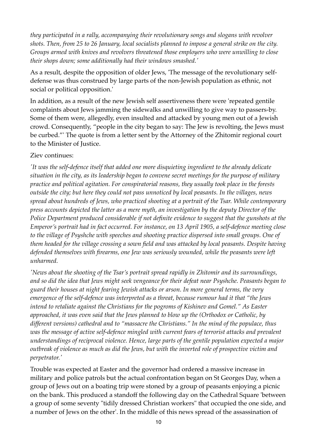*they participated in a rally, accompanying their revolutionary songs and slogans with revolver shots. Then, from 25 to 26 January, local socialists planned to impose a general strike on the city. Groups armed with knives and revolvers threatened those employers who were unwilling to close their shops down; some additionally had their windows smashed.'*

As a result, despite the opposition of older Jews, 'The message of the revolutionary selfdefense was thus construed by large parts of the non-Jewish population as ethnic, not social or political opposition.'

In addition, as a result of the new Jewish self assertiveness there were 'repeated gentile complaints about Jews jamming the sidewalks and unwilling to give way to passers-by. Some of them were, allegedly, even insulted and attacked by young men out of a Jewish crowd. Consequently, "people in the city began to say: The Jew is revolting, the Jews must be curbed."' The quote is from a letter sent by the Attorney of the Zhitomir regional court to the Minister of Justice.

#### Ziev continues:

*'It was the self-defence itself that added one more disquieting ingredient to the already delicate situation in the city, as its leadership began to convene secret meetings for the purpose of military practice and political agitation. For conspiratorial reasons, they usually took place in the forests outside the city; but here they could not pass unnoticed by local peasants. In the villages, news spread about hundreds of Jews, who practiced shooting at a portrait of the Tsar. While contemporary press accounts depicted the latter as a mere myth, an investigation by the deputy Director of the Police Department produced considerable if not definite evidence to suggest that the gunshots at the Emperor's portrait had in fact occurred. For instance, on 13 April 1905, a self-defence meeting close to the village of Psyshche with speeches and shooting practice dispersed into small groups. One of them headed for the village crossing a sown field and was attacked by local peasants. Despite having defended themselves with firearms, one Jew was seriously wounded, while the peasants were left unharmed.*

*'News about the shooting of the Tsar's portrait spread rapidly in Zhitomir and its surroundings, and so did the idea that Jews might seek vengeance for their defeat near Psyshche. Peasants began to guard their houses at night fearing Jewish attacks or arson. In more general terms, the very emergence of the self-defence was interpreted as a threat, because rumour had it that "the Jews intend to retaliate against the Christians for the pogroms of Kishinev and Gomel." As Easter approached, it was even said that the Jews planned to blow up the (Orthodox or Catholic, by different versions) cathedral and to "massacre the Christians." In the mind of the populace, thus was the message of active self-defence mingled with current fears of terrorist attacks and prevalent understandings of reciprocal violence. Hence, large parts of the gentile population expected a major outbreak of violence as much as did the Jews, but with the inverted role of prospective victim and perpetrator.'*

Trouble was expected at Easter and the governor had ordered a massive increase in military and police patrols but the actual confrontation began on St Georges Day, when a group of Jews out on a boating trip were stoned by a group of peasants enjoying a picnic on the bank. This produced a standoff the following day on the Cathedral Square 'between a group of some seventy "tidily dressed Christian workers" that occupied the one side, and a number of Jews on the other'. In the middle of this news spread of the assassination of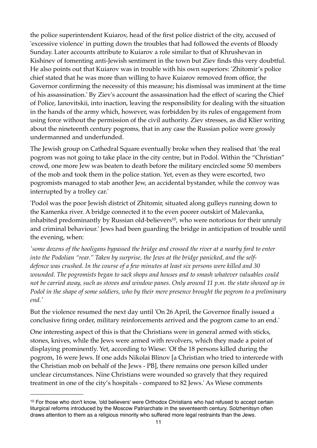the police superintendent Kuiarov, head of the first police district of the city, accused of 'excessive violence' in putting down the troubles that had followed the events of Bloody Sunday. Later accounts attribute to Kuiarov a role similar to that of Khrushevan in Kishinev of fomenting anti-Jewish sentiment in the town but Ziev finds this very doubtful. He also points out that Kuiarov was in trouble with his own superiors: 'Zhitomir's police chief stated that he was more than willing to have Kuiarov removed from office, the Governor confirming the necessity of this measure; his dismissal was imminent at the time of his assassination.' By Ziev's account the assassination had the effect of scaring the Chief of Police, Ianovitskii, into inaction, leaving the responsibility for dealing with the situation in the hands of the army which, however, was forbidden by its rules of engagement from using force without the permission of the civil authority. Ziev stresses, as did Klier writing about the nineteenth century pogroms, that in any case the Russian police were grossly undermanned and underfunded.

The Jewish group on Cathedral Square eventually broke when they realised that 'the real pogrom was not going to take place in the city centre, but in Podol. Within the "Christian" crowd, one more Jew was beaten to death before the military encircled some 50 members of the mob and took them in the police station. Yet, even as they were escorted, two pogromists managed to stab another Jew, an accidental bystander, while the convoy was interrupted by a trolley car.'

'Podol was the poor Jewish district of Zhitomir, situated along gulleys running down to the Kamenka river. A bridge connected it to the even poorer outskirt of Malevanka, inhabited predominantly by Russian old-believers<sup>10</sup>, who were notorious for their unruly and criminal behaviour.' Jews had been guarding the bridge in anticipation of trouble until the evening, when:

*'some dozens of the hooligans bypassed the bridge and crossed the river at a nearby ford to enter*  into the Podolian "rear." Taken by surprise, the Jews at the bridge panicked, and the self*defence was crushed. In the course of a few minutes at least six persons were killed and 30 wounded. The pogromists began to sack shops and houses and to smash whatever valuables could not be carried away, such as stoves and window panes. Only around 11 p.m. the state showed up in Podol in the shape of some soldiers, who by their mere presence brought the pogrom to a preliminary end.'*

But the violence resumed the next day until 'On 26 April, the Governor finally issued a conclusive firing order, military reinforcements arrived and the pogrom came to an end.'

One interesting aspect of this is that the Christians were in general armed with sticks, stones, knives, while the Jews were armed with revolvers, which they made a point of displaying prominently. Yet, according to Wiese: 'Of the 18 persons killed during the pogrom, 16 were Jews. If one adds Nikolai Blinov [a Christian who tried to intercede with the Christian mob on behalf of the Jews - PB], there remains one person killed under unclear circumstances. Nine Christians were wounded so gravely that they required treatment in one of the city's hospitals - compared to 82 Jews.' As Wiese comments

<span id="page-10-0"></span><sup>10</sup> For those who don't know, 'old believers' were Orthodox Christians who had refused to accept certain liturgical reforms introduced by the Moscow Patriarchate in the seventeenth century. Solzhenitsyn often draws attention to them as a religious minority who suffered more legal restraints than the Jews.